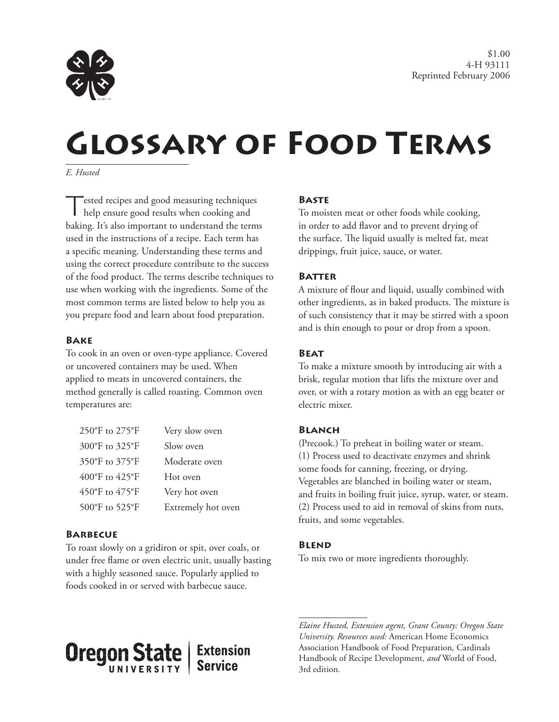

# **Glossary of Food Terms**

*E. Husted*

Tested recipes and good measuring techniques help ensure good results when cooking and baking. It's also important to understand the terms used in the instructions of a recipe. Each term has a specific meaning. Understanding these terms and using the correct procedure contribute to the success of the food product. The terms describe techniques to use when working with the ingredients. Some of the most common terms are listed below to help you as you prepare food and learn about food preparation.

#### **Bake**

To cook in an oven or oven-type appliance. Covered or uncovered containers may be used. When applied to meats in uncovered containers, the method generally is called roasting. Common oven temperatures are:

| 250°F to 275°F | Very slow oven     |
|----------------|--------------------|
| 300°F to 325°F | Slow oven          |
| 350°F to 375°F | Moderate oven      |
| 400°F to 425°F | Hot oven           |
| 450°F to 475°F | Very hot oven      |
| 500°F to 525°F | Extremely hot oven |

## **Barbecue**

**Oregon State** 

To roast slowly on a gridiron or spit, over coals, or under free flame or oven electric unit, usually basting with a highly seasoned sauce. Popularly applied to foods cooked in or served with barbecue sauce.

> **Extension Service**

#### **Baste**

To moisten meat or other foods while cooking, in order to add flavor and to prevent drying of the surface. The liquid usually is melted fat, meat drippings, fruit juice, sauce, or water.

#### **Batter**

A mixture of flour and liquid, usually combined with other ingredients, as in baked products. The mixture is of such consistency that it may be stirred with a spoon and is thin enough to pour or drop from a spoon.

#### **Beat**

To make a mixture smooth by introducing air with a brisk, regular motion that lifts the mixture over and over, or with a rotary motion as with an egg beater or electric mixer.

#### **Blanch**

(Precook.) To preheat in boiling water or steam. (1) Process used to deactivate enzymes and shrink some foods for canning, freezing, or drying. Vegetables are blanched in boiling water or steam, and fruits in boiling fruit juice, syrup, water, or steam. (2) Process used to aid in removal of skins from nuts, fruits, and some vegetables.

#### **Blend**

To mix two or more ingredients thoroughly.

*Elaine Husted, Extension agent, Grant County; Oregon State University. Resources used:* American Home Economics Association Handbook of Food Preparation*,* Cardinals Handbook of Recipe Development*, and* World of Food, 3rd edition*.*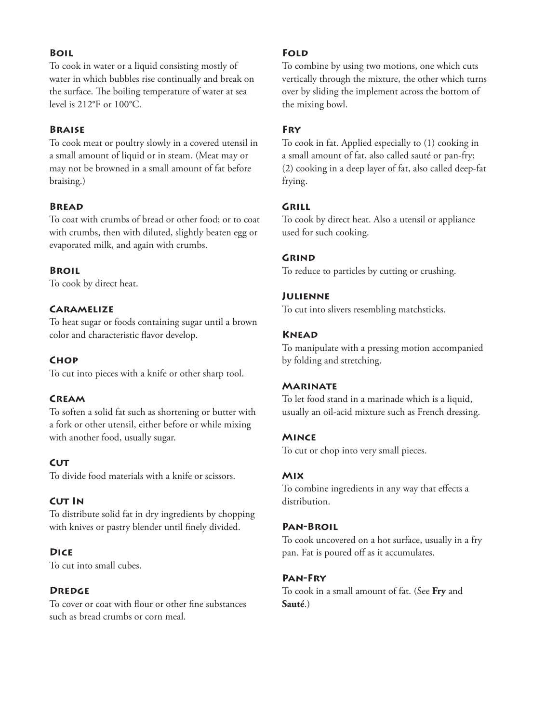# **Boil**

To cook in water or a liquid consisting mostly of water in which bubbles rise continually and break on the surface. The boiling temperature of water at sea level is 212°F or 100°C.

## **Braise**

To cook meat or poultry slowly in a covered utensil in a small amount of liquid or in steam. (Meat may or may not be browned in a small amount of fat before braising.)

# **Bread**

To coat with crumbs of bread or other food; or to coat with crumbs, then with diluted, slightly beaten egg or evaporated milk, and again with crumbs.

## **Broil**

To cook by direct heat.

# **Caramelize**

To heat sugar or foods containing sugar until a brown color and characteristic flavor develop.

## **Chop**

To cut into pieces with a knife or other sharp tool.

## **Cream**

To soften a solid fat such as shortening or butter with a fork or other utensil, either before or while mixing with another food, usually sugar.

## **CUT**

To divide food materials with a knife or scissors.

## **Cut In**

To distribute solid fat in dry ingredients by chopping with knives or pastry blender until finely divided.

## **Dice**

To cut into small cubes.

## **Dredge**

To cover or coat with flour or other fine substances such as bread crumbs or corn meal.

## **Fold**

To combine by using two motions, one which cuts vertically through the mixture, the other which turns over by sliding the implement across the bottom of the mixing bowl.

# **Fry**

To cook in fat. Applied especially to (1) cooking in a small amount of fat, also called sauté or pan-fry; (2) cooking in a deep layer of fat, also called deep‑fat frying.

## **Grill**

To cook by direct heat. Also a utensil or appliance used for such cooking.

## **Grind**

To reduce to particles by cutting or crushing.

#### **Julienne**

To cut into slivers resembling matchsticks.

#### **Knead**

To manipulate with a pressing motion accompanied by folding and stretching.

## **Marinate**

To let food stand in a marinade which is a liquid, usually an oil‑acid mixture such as French dressing.

#### **Mince**

To cut or chop into very small pieces.

## **Mix**

To combine ingredients in any way that effects a distribution.

## **Pan‑Broil**

To cook uncovered on a hot surface, usually in a fry pan. Fat is poured off as it accumulates.

## **Pan‑Fry**

To cook in a small amount of fat. (See **Fry** and **Sauté**.)